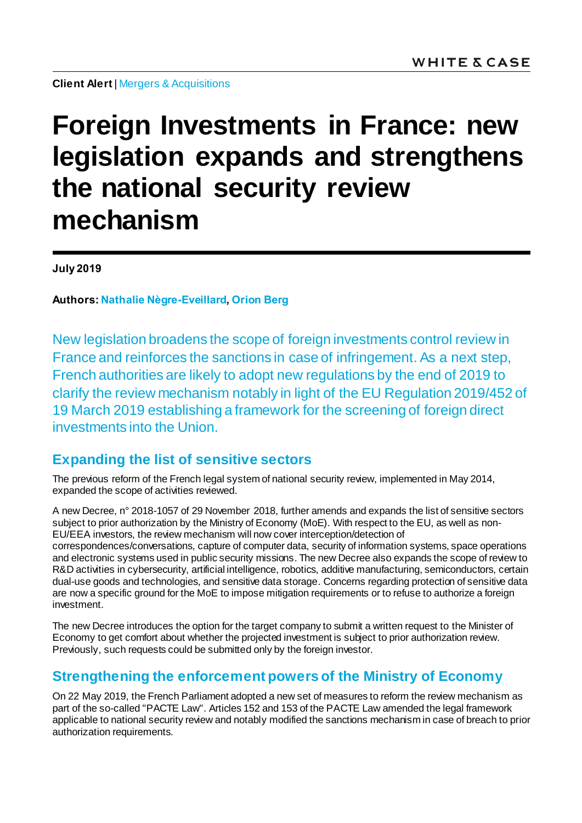**Client Alert** | Mergers & [Acquisitions](https://www.whitecase.com/law/practices/mergers-acquisitions)

# **Foreign Investments in France: new legislation expands and strengthens the national security review mechanism**

**July 2019**

**Authors: [Nathalie Nègre-Eveillard,](https://www.whitecase.com/people/nathalie-negre-eveillard) [Orion Berg](https://www.whitecase.com/people/orion-berg)**

New legislation broadens the scope of foreign investments control review in France and reinforces the sanctions in case of infringement. As a next step, French authorities are likely to adopt new regulations by the end of 2019 to clarify the review mechanism notably in light of the EU Regulation 2019/452 of 19 March 2019 establishing a framework for the screening of foreign direct investments into the Union.

## **Expanding the list of sensitive sectors**

The previous reform of the French legal system of national security review, implemented in May 2014, expanded the scope of activities reviewed.

A new Decree, n° 2018-1057 of 29 November 2018, further amends and expands the list of sensitive sectors subject to prior authorization by the Ministry of Economy (MoE). With respect to the EU, as well as non-EU/EEA investors, the review mechanism will now cover interception/detection of correspondences/conversations, capture of computer data, security of information systems, space operations and electronic systems used in public security missions. The new Decree also expands the scope of review to R&D activities in cybersecurity, artificial intelligence, robotics, additive manufacturing, semiconductors, certain dual-use goods and technologies, and sensitive data storage. Concerns regarding protection of sensitive data are now a specific ground for the MoE to impose mitigation requirements or to refuse to authorize a foreign investment.

The new Decree introduces the option for the target company to submit a written request to the Minister of Economy to get comfort about whether the projected investment is subject to prior authorization review. Previously, such requests could be submitted only by the foreign investor.

## **Strengthening the enforcement powers of the Ministry of Economy**

On 22 May 2019, the French Parliament adopted a new set of measures to reform the review mechanism as part of the so-called "PACTE Law". Articles 152 and 153 of the PACTE Law amended the legal framework applicable to national security review and notably modified the sanctions mechanism in case of breach to prior authorization requirements.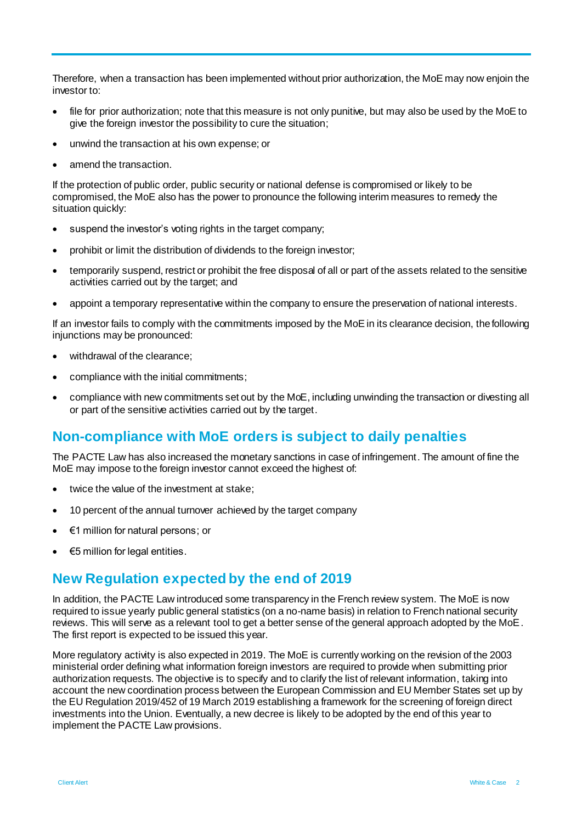Therefore, when a transaction has been implemented without prior authorization, the MoE may now enjoin the investor to:

- file for prior authorization; note that this measure is not only punitive, but may also be used by the MoE to give the foreign investor the possibility to cure the situation;
- unwind the transaction at his own expense; or
- amend the transaction.

If the protection of public order, public security or national defense is compromised or likely to be compromised, the MoE also has the power to pronounce the following interim measures to remedy the situation quickly:

- suspend the investor's voting rights in the target company;
- prohibit or limit the distribution of dividends to the foreign investor;
- temporarily suspend, restrict or prohibit the free disposal of all or part of the assets related to the sensitive activities carried out by the target; and
- appoint a temporary representative within the company to ensure the preservation of national interests.

If an investor fails to comply with the commitments imposed by the MoE in its clearance decision, the following injunctions may be pronounced:

- withdrawal of the clearance;
- compliance with the initial commitments;
- compliance with new commitments set out by the MoE, including unwinding the transaction or divesting all or part of the sensitive activities carried out by the target.

### **Non-compliance with MoE orders is subject to daily penalties**

The PACTE Law has also increased the monetary sanctions in case of infringement. The amount of fine the MoE may impose to the foreign investor cannot exceed the highest of:

- twice the value of the investment at stake;
- 10 percent of the annual turnover achieved by the target company
- €1 million for natural persons; or
- €5 million for legal entities.

### **New Regulation expected by the end of 2019**

In addition, the PACTE Law introduced some transparency in the French review system. The MoE is now required to issue yearly public general statistics (on a no-name basis) in relation to French national security reviews. This will serve as a relevant tool to get a better sense of the general approach adopted by the MoE. The first report is expected to be issued this year.

More regulatory activity is also expected in 2019. The MoE is currently working on the revision of the 2003 ministerial order defining what information foreign investors are required to provide when submitting prior authorization requests. The objective is to specify and to clarify the list of relevant information, taking into account the new coordination process between the European Commission and EU Member States set up by the EU Regulation 2019/452 of 19 March 2019 establishing a framework for the screening of foreign direct investments into the Union. Eventually, a new decree is likely to be adopted by the end of this year to implement the PACTE Law provisions.